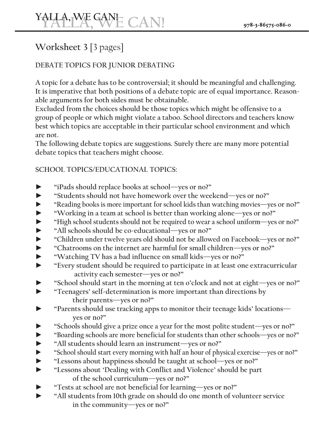# **Worksheet 3** [3 pages]

## **DEBATE TOPICS FOR JUNIOR DEBATING**

**A topic for a debate has to be controversial; it should be meaningful and challenging. It is imperative that both positions of a debate topic are of equal importance. Reasonable arguments for both sides must be obtainable.** 

**Excluded from the choices should be those topics which might be offensive to a group of people or which might violate a taboo. School directors and teachers know best which topics are acceptable in their particular school environment and which are not.** 

**The following debate topics are suggestions. Surely there are many more potential debate topics that teachers might choose.** 

#### **SCHOOL TOPICS/EDUCATIONAL TOPICS:**

- ► **"iPads should replace books at school—yes or no?"**
- ► **"Students should not have homework over the weekend—yes or no?"**
- ► **"Reading books is more important for school kids than watching movies—yes or no?"**
- ► **"Working in a team at school is better than working alone—yes or no?"**
- ► **"High school students should not be required to wear a school uniform—yes or no?"**
- ► **"All schools should be co-educational—yes or no?"**
- ► **"Children under twelve years old should not be allowed on Facebook—yes or no?"**
- ► **"Chatrooms on the internet are harmful for small children—yes or no?"**
- ► **"Watching TV has a bad influence on small kids—yes or no?"**
- ► **"Every student should be required to participate in at least one extracurricular activity each semester—yes or no?"**
- ► **"School should start in the morning at ten o'clock and not at eight—yes or no?"**
- ► **"Teenagers' self-determination is more important than directions by their parents—yes or no?"**
- ► **"Parents should use tracking apps to monitor their teenage kids' locations yes or no?"**
- ► **"Schools should give a prize once a year for the most polite student—yes or no?"**
- ► **"Boarding schools are more beneficial for students than other schools—yes or no?"**
- ► **"All students should learn an instrument—yes or no?"**
- ► **"School should start every morning with half an hour of physical exercise—yes or no?"**
- ► **"Lessons about happiness should be taught at school—yes or no?"**
- ► **"Lessons about 'Dealing with Conflict and Violence' should be part of the school curriculum—yes or no?"**
- ► **"Tests at school are not beneficial for learning—yes or no?"**
- ► **"All students from 10th grade on should do one month of volunteer service in the community—yes or no?"**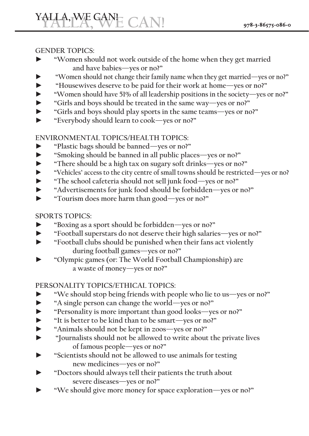#### **GENDER TOPICS:**

- ► **"Women should not work outside of the home when they get married and have babies—yes or no?"**
- ► **"Women should not change their family name when they get married—yes or no?"**
- ► **"Housewives deserve to be paid for their work at home—yes or no?"**
- ► **"Women should have 51% of all leadership positions in the society—yes or no?"**
- ► **"Girls and boys should be treated in the same way—yes or no?"**
- ► **"Girls and boys should play sports in the same teams—yes or no?"**
- ► **"Everybody should learn to cook—yes or no?"**

#### **ENVIRONMENTAL TOPICS/HEALTH TOPICS:**

- ► **"Plastic bags should be banned—yes or no?"**
- ► **"Smoking should be banned in all public places—yes or no?"**
- ► **"There should be a high tax on sugary soft drinks—yes or no?"**
- ► **"Vehicles' access to the city centre of small towns should be restricted—yes or no?**
- ► **"The school cafeteria should not sell junk food—yes or no?"**
- ► **"Advertisements for junk food should be forbidden—yes or no?"**
- ► **"Tourism does more harm than good—yes or no?"**

### **SPORTS TOPICS:**

- ► **"Boxing as a sport should be forbidden—yes or no?"**
- ► **"Football superstars do not deserve their high salaries—yes or no?"**
- ► **"Football clubs should be punished when their fans act violently during football games—yes or no?"**
- ► **"Olympic games (or: The World Football Championship) are a waste of money—yes or no?"**

### **PERSONALITY TOPICS/ETHICAL TOPICS:**

- ► **"We should stop being friends with people who lie to us—yes or no?"**
- ► **"A single person can change the world—yes or no?"**
- ► **"Personality is more important than good looks—yes or no?"**
- ► **"It is better to be kind than to be smart—yes or no?"**
- ► **"Animals should not be kept in zoos—yes or no?"**
- ► **"Journalists should not be allowed to write about the private lives of famous people—yes or no?"**
- ► **"Scientists should not be allowed to use animals for testing new medicines—yes or no?"**
- ► **"Doctors should always tell their patients the truth about severe diseases—yes or no?"**
- ► **"We should give more money for space exploration—yes or no?"**